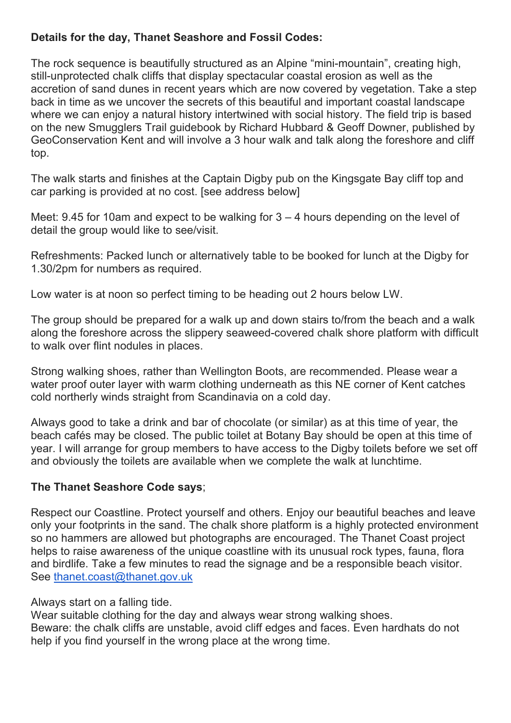# **Details for the day, Thanet Seashore and FossilCodes:**

The rock sequence is beautifully structured as an Alpine "mini-mountain", creating high, still-unprotected chalk cliffs that display spectacular coastal erosion as well as the accretion of sand dunes in recent years which are now covered by vegetation. Take a step back in time as we uncover the secrets of this beautiful and important coastal landscape where we can enjoy a natural history intertwined with social history. The field trip is based on the new Smugglers Trail guidebook by Richard Hubbard & Geoff Downer, published by GeoConservation Kent and will involve a 3 hour walk and talk along the foreshore and cliff top.

The walk starts and finishes at the Captain Digby pub on the Kingsgate Bay cliff top and car parking is provided at no cost. [see address below]

Meet: 9.45 for 10am and expect to be walking for 3 – 4 hours depending on the level of detail the group would like to see/visit.<br>Refreshments: Packed lunch or alternatively table to be booked for lunch at the Digby for

1.30/2pm for numbers as required.

Low water is at noon so perfect timing to be heading out 2 hours below LW.

The group should be prepared for a walk up and down stairs to/from the beach and a walk along the foreshore across the slippery seaweed-covered chalk shore platform with difficult to walk over flint nodules in places.

Strong walking shoes, rather than Wellington Boots, are recommended. Please wear a water proof outer layer with warm clothing underneath as this NE corner of Kent catches cold northerly winds straight from Scandinavia on a cold day.

Always good to take a drink and bar of chocolate (or similar) as at this time of year, the beach cafés may be closed. The public toilet at Botany Bay should be open at this time of year. I will arrange for group members to have access to the Digby toilets before we set off and obviously the toilets are available when we complete the walk at lunchtime.

## **The Thanet Seashore Code says**;

Respect our Coastline. Protect yourself and others. Enjoy our beautiful beaches and leave only your footprints in the sand. The chalk shore platform is a highly protected environment so no hammers are allowed but photographs are encouraged. The Thanet Coast project helps to raise awareness of the unique coastline with its unusual rock types, fauna, flora and birdlife. Take a few minutes to read the signage and be a responsible beach visitor. See [thanet.coast@thanet.gov.uk](mailto:thanet.coast@thanet.gov.uk)

#### Always start on a falling tide.

Wear suitable clothing for the day and always wear strong walking shoes. Beware: the chalk cliffs are unstable, avoid cliff edges and faces. Even hardhats do not help if you find yourself in the wrong place at the wrong time.